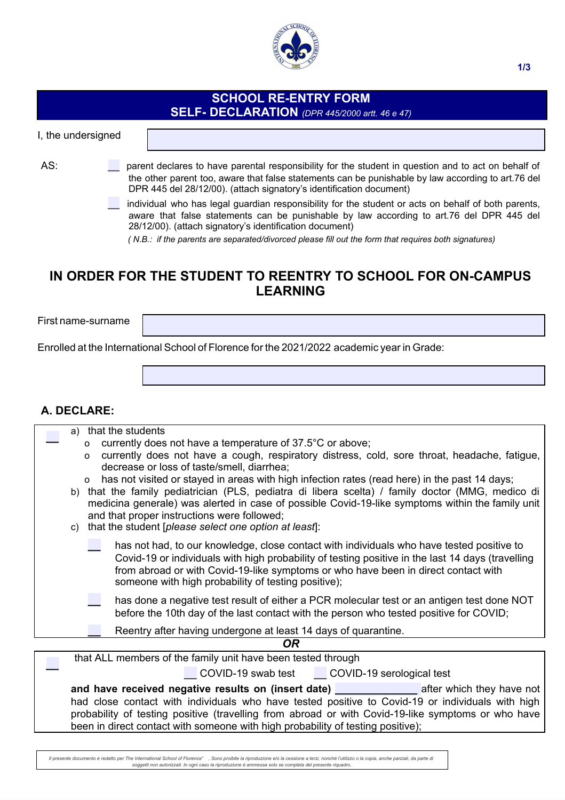

## **SCHOOL RE-ENTRY FORM SELF- DECLARATION** *(DPR 445/2000 artt. 46 e 47)*

I, the undersigned

- AS: parent declares to have parental responsibility for the student in question and to act on behalf of the other parent too, aware that false statements can be punishable by law according to art.76 del DPR 445 del 28/12/00). (attach signatory's identification document)
	- individual who has legal guardian responsibility for the student or acts on behalf of both parents, aware that false statements can be punishable by law according to art.76 del DPR 445 del 28/12/00). (attach signatory's identification document)

*( N.B.: if the parents are separated/divorced please fill out the form that requires both signatures)* 

# **IN ORDER FOR THE STUDENT TO REENTRY TO SCHOOL FOR ON-CAMPUS LEARNING**

First name-surname

Enrolled at the International School of Florence for the 2021/2022 academic year in Grade:

### **A. DECLARE:**

| a) that the students                                                                                                                                                                                                                                                                                                                        |  |  |
|---------------------------------------------------------------------------------------------------------------------------------------------------------------------------------------------------------------------------------------------------------------------------------------------------------------------------------------------|--|--|
| currently does not have a temperature of 37.5°C or above;<br>$\circ$                                                                                                                                                                                                                                                                        |  |  |
| currently does not have a cough, respiratory distress, cold, sore throat, headache, fatigue,<br>$\Omega$<br>decrease or loss of taste/smell, diarrhea;                                                                                                                                                                                      |  |  |
| has not visited or stayed in areas with high infection rates (read here) in the past 14 days;<br>$\circ$                                                                                                                                                                                                                                    |  |  |
| b) that the family pediatrician (PLS, pediatra di libera scelta) / family doctor (MMG, medico di<br>medicina generale) was alerted in case of possible Covid-19-like symptoms within the family unit                                                                                                                                        |  |  |
| and that proper instructions were followed;                                                                                                                                                                                                                                                                                                 |  |  |
| that the student [please select one option at least]:<br>C)                                                                                                                                                                                                                                                                                 |  |  |
|                                                                                                                                                                                                                                                                                                                                             |  |  |
| has not had, to our knowledge, close contact with individuals who have tested positive to<br>Covid-19 or individuals with high probability of testing positive in the last 14 days (travelling<br>from abroad or with Covid-19-like symptoms or who have been in direct contact with<br>someone with high probability of testing positive); |  |  |
| has done a negative test result of either a PCR molecular test or an antigen test done NOT<br>before the 10th day of the last contact with the person who tested positive for COVID;                                                                                                                                                        |  |  |
| Reentry after having undergone at least 14 days of quarantine.                                                                                                                                                                                                                                                                              |  |  |
| OR                                                                                                                                                                                                                                                                                                                                          |  |  |
| that ALL members of the family unit have been tested through                                                                                                                                                                                                                                                                                |  |  |
| COVID-19 swab test COVID-19 serological test                                                                                                                                                                                                                                                                                                |  |  |

| and have received negative results on (insert date) <b>which the same of the same of the same of the same of the same of the same of the same of the same of the same of the same of the same of the same of the same of the sam</b> | after which they have not |
|--------------------------------------------------------------------------------------------------------------------------------------------------------------------------------------------------------------------------------------|---------------------------|
| had close contact with individuals who have tested positive to Covid-19 or individuals with high                                                                                                                                     |                           |
| probability of testing positive (travelling from abroad or with Covid-19-like symptoms or who have                                                                                                                                   |                           |
| been in direct contact with someone with high probability of testing positive);                                                                                                                                                      |                           |

*Il presente documento è redatto per The International School of Florence" , Sono proibite la riproduzione e/o la cessione a terzi, nonché l'utilizzo o la copia, anche parziali, da parte di soggetti non autorizzati. In ogni caso la riproduzione è ammessa solo se completa del presente riquadro.*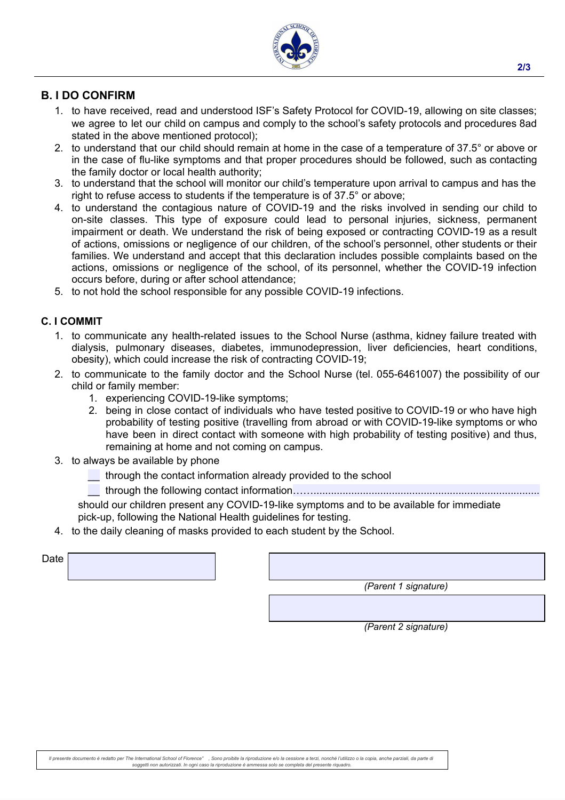

### **B. I DO CONFIRM**

- 1. to have received, read and understood ISF's Safety Protocol for COVID-19, allowing on site classes; we agree to let our child on campus and comply to the school's safety protocols and procedures 8ad stated in the above mentioned protocol);
- 2. to understand that our child should remain at home in the case of a temperature of 37.5° or above or in the case of flu-like symptoms and that proper procedures should be followed, such as contacting the family doctor or local health authority;
- 3. to understand that the school will monitor our child's temperature upon arrival to campus and has the right to refuse access to students if the temperature is of 37.5° or above;
- 4. to understand the contagious nature of COVID-19 and the risks involved in sending our child to on-site classes. This type of exposure could lead to personal injuries, sickness, permanent impairment or death. We understand the risk of being exposed or contracting COVID-19 as a result of actions, omissions or negligence of our children, of the school's personnel, other students or their families. We understand and accept that this declaration includes possible complaints based on the actions, omissions or negligence of the school, of its personnel, whether the COVID-19 infection occurs before, during or after school attendance;
- 5. to not hold the school responsible for any possible COVID-19 infections.

#### **C. I COMMIT**

- 1. to communicate any health-related issues to the School Nurse (asthma, kidney failure treated with dialysis, pulmonary diseases, diabetes, immunodepression, liver deficiencies, heart conditions, obesity), which could increase the risk of contracting COVID-19;
- 2. to communicate to the family doctor and the School Nurse (tel. 055-6461007) the possibility of our child or family member:
	- 1. experiencing COVID-19-like symptoms;
	- 2. being in close contact of individuals who have tested positive to COVID-19 or who have high probability of testing positive (travelling from abroad or with COVID-19-like symptoms or who have been in direct contact with someone with high probability of testing positive) and thus, remaining at home and not coming on campus.
- 3. to always be available by phone
	- \_\_ through the contact information already provided to the school
	- \_\_ through the following contact information……..............................................................................

should our children present any COVID-19-like symptoms and to be available for immediate pick-up, following the National Health guidelines for testing.

4. to the daily cleaning of masks provided to each student by the School.

| Date |  |
|------|--|
|      |  |

| (Parent 1 signature) |
|----------------------|
|                      |

*(Parent 2 signature)*